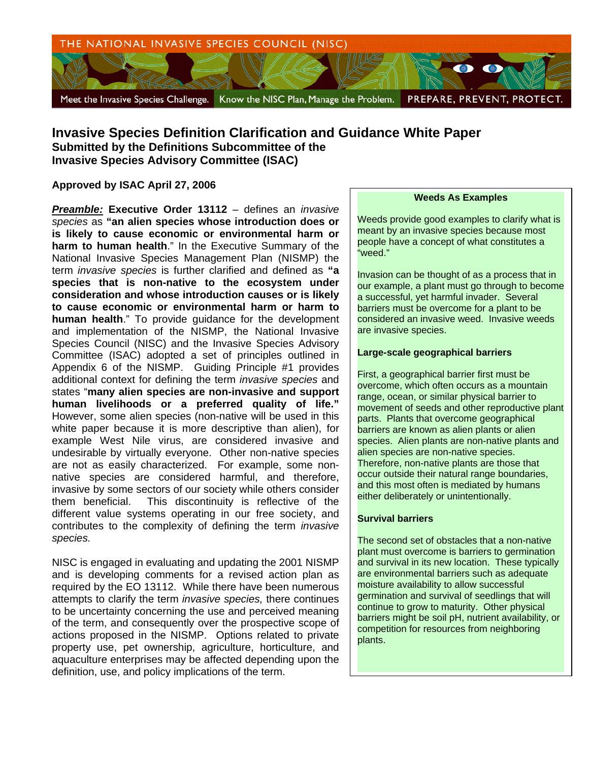

### **Invasive Species Definition Clarification and Guidance White Paper Submitted by the Definitions Subcommittee of the Invasive Species Advisory Committee (ISAC)**

### **Approved by ISAC April 27, 2006**

*Preamble:* **Executive Order 13112** – defines an *invasive species* as **"an alien species whose introduction does or is likely to cause economic or environmental harm or harm to human health**." In the Executive Summary of the National Invasive Species Management Plan (NISMP) the term *invasive species* is further clarified and defined as **"a species that is non-native to the ecosystem under consideration and whose introduction causes or is likely to cause economic or environmental harm or harm to human health**." To provide guidance for the development and implementation of the NISMP, the National Invasive Species Council (NISC) and the Invasive Species Advisory Committee (ISAC) adopted a set of principles outlined in Appendix 6 of the NISMP. Guiding Principle #1 provides additional context for defining the term *invasive species* and states "**many alien species are non-invasive and support human livelihoods or a preferred quality of life."**  However, some alien species (non-native will be used in this white paper because it is more descriptive than alien), for example West Nile virus, are considered invasive and undesirable by virtually everyone. Other non-native species are not as easily characterized. For example, some nonnative species are considered harmful, and therefore, invasive by some sectors of our society while others consider them beneficial. This discontinuity is reflective of the different value systems operating in our free society, and contributes to the complexity of defining the term *invasive species.* 

NISC is engaged in evaluating and updating the 2001 NISMP and is developing comments for a revised action plan as required by the EO 13112. While there have been numerous attempts to clarify the term *invasive species,* there continues to be uncertainty concerning the use and perceived meaning of the term, and consequently over the prospective scope of actions proposed in the NISMP. Options related to private property use, pet ownership, agriculture, horticulture, and aquaculture enterprises may be affected depending upon the definition, use, and policy implications of the term.

#### **Weeds As Examples**

Weeds provide good examples to clarify what is meant by an invasive species because most people have a concept of what constitutes a "weed."

Invasion can be thought of as a process that in our example, a plant must go through to become a successful, yet harmful invader. Several barriers must be overcome for a plant to be considered an invasive weed. Invasive weeds are invasive species.

#### **Large-scale geographical barriers**

First, a geographical barrier first must be overcome, which often occurs as a mountain range, ocean, or similar physical barrier to movement of seeds and other reproductive plant parts. Plants that overcome geographical barriers are known as alien plants or alien species. Alien plants are non-native plants and alien species are non-native species. Therefore, non-native plants are those that occur outside their natural range boundaries, and this most often is mediated by humans either deliberately or unintentionally.

#### **Survival barriers**

The second set of obstacles that a non-native plant must overcome is barriers to germination and survival in its new location. These typically are environmental barriers such as adequate moisture availability to allow successful germination and survival of seedlings that will continue to grow to maturity. Other physical barriers might be soil pH, nutrient availability, or competition for resources from neighboring plants.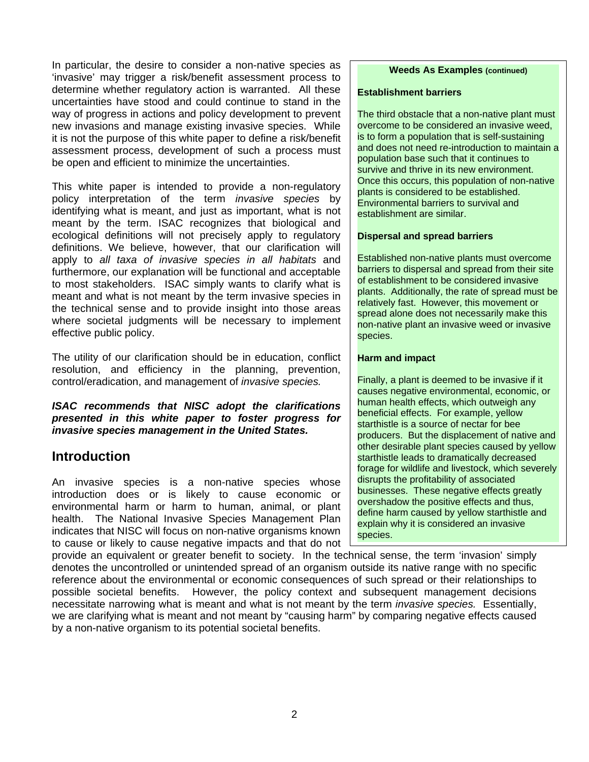In particular, the desire to consider a non-native species as 'invasive' may trigger a risk/benefit assessment process to determine whether regulatory action is warranted. All these uncertainties have stood and could continue to stand in the way of progress in actions and policy development to prevent new invasions and manage existing invasive species. While it is not the purpose of this white paper to define a risk/benefit assessment process, development of such a process must be open and efficient to minimize the uncertainties.

This white paper is intended to provide a non-regulatory policy interpretation of the term *invasive species* by identifying what is meant, and just as important, what is not meant by the term. ISAC recognizes that biological and ecological definitions will not precisely apply to regulatory definitions. We believe, however, that our clarification will apply to *all taxa of invasive species in all habitats* and furthermore, our explanation will be functional and acceptable to most stakeholders. ISAC simply wants to clarify what is meant and what is not meant by the term invasive species in the technical sense and to provide insight into those areas where societal judgments will be necessary to implement effective public policy.

The utility of our clarification should be in education, conflict resolution, and efficiency in the planning, prevention, control/eradication, and management of *invasive species.* 

*ISAC recommends that NISC adopt the clarifications presented in this white paper to foster progress for invasive species management in the United States.* 

## **Introduction**

An invasive species is a non-native species whose introduction does or is likely to cause economic or environmental harm or harm to human, animal, or plant health. The National Invasive Species Management Plan indicates that NISC will focus on non-native organisms known to cause or likely to cause negative impacts and that do not

#### **Weeds As Examples (continued)**

### **Establishment barriers**

The third obstacle that a non-native plant must overcome to be considered an invasive weed, is to form a population that is self-sustaining and does not need re-introduction to maintain a population base such that it continues to survive and thrive in its new environment. Once this occurs, this population of non-native plants is considered to be established. Environmental barriers to survival and establishment are similar.

#### **Dispersal and spread barriers**

Established non-native plants must overcome barriers to dispersal and spread from their site of establishment to be considered invasive plants. Additionally, the rate of spread must be relatively fast. However, this movement or spread alone does not necessarily make this non-native plant an invasive weed or invasive species.

#### **Harm and impact**

Finally, a plant is deemed to be invasive if it causes negative environmental, economic, or human health effects, which outweigh any beneficial effects. For example, yellow starthistle is a source of nectar for bee producers. But the displacement of native and other desirable plant species caused by yellow starthistle leads to dramatically decreased forage for wildlife and livestock, which severely disrupts the profitability of associated businesses. These negative effects greatly overshadow the positive effects and thus, define harm caused by yellow starthistle and explain why it is considered an invasive species.

provide an equivalent or greater benefit to society. In the technical sense, the term 'invasion' simply denotes the uncontrolled or unintended spread of an organism outside its native range with no specific reference about the environmental or economic consequences of such spread or their relationships to possible societal benefits. However, the policy context and subsequent management decisions necessitate narrowing what is meant and what is not meant by the term *invasive species.* Essentially, we are clarifying what is meant and not meant by "causing harm" by comparing negative effects caused by a non-native organism to its potential societal benefits.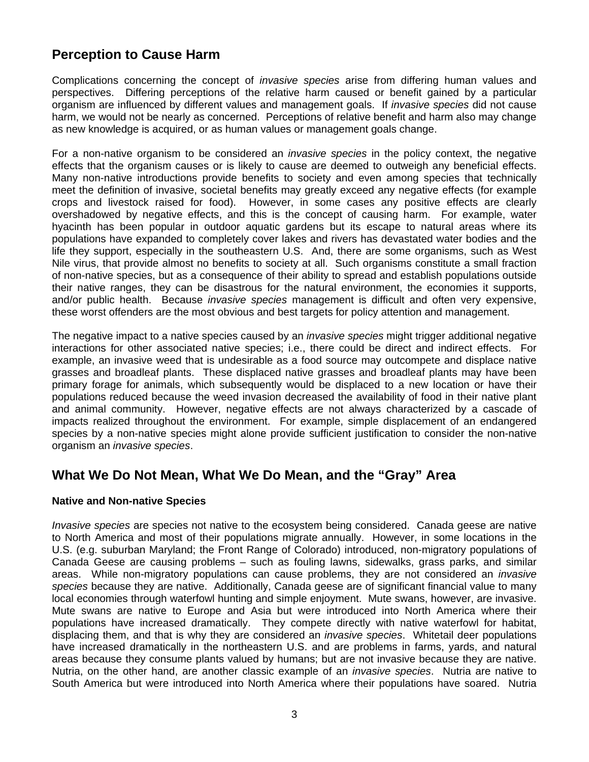# **Perception to Cause Harm**

Complications concerning the concept of *invasive species* arise from differing human values and perspectives. Differing perceptions of the relative harm caused or benefit gained by a particular organism are influenced by different values and management goals. If *invasive species* did not cause harm, we would not be nearly as concerned. Perceptions of relative benefit and harm also may change as new knowledge is acquired, or as human values or management goals change.

For a non-native organism to be considered an *invasive species* in the policy context, the negative effects that the organism causes or is likely to cause are deemed to outweigh any beneficial effects. Many non-native introductions provide benefits to society and even among species that technically meet the definition of invasive, societal benefits may greatly exceed any negative effects (for example crops and livestock raised for food). However, in some cases any positive effects are clearly overshadowed by negative effects, and this is the concept of causing harm. For example, water hyacinth has been popular in outdoor aquatic gardens but its escape to natural areas where its populations have expanded to completely cover lakes and rivers has devastated water bodies and the life they support, especially in the southeastern U.S. And, there are some organisms, such as West Nile virus, that provide almost no benefits to society at all. Such organisms constitute a small fraction of non-native species, but as a consequence of their ability to spread and establish populations outside their native ranges, they can be disastrous for the natural environment, the economies it supports, and/or public health. Because *invasive species* management is difficult and often very expensive, these worst offenders are the most obvious and best targets for policy attention and management.

The negative impact to a native species caused by an *invasive species* might trigger additional negative interactions for other associated native species; i.e., there could be direct and indirect effects. For example, an invasive weed that is undesirable as a food source may outcompete and displace native grasses and broadleaf plants. These displaced native grasses and broadleaf plants may have been primary forage for animals, which subsequently would be displaced to a new location or have their populations reduced because the weed invasion decreased the availability of food in their native plant and animal community. However, negative effects are not always characterized by a cascade of impacts realized throughout the environment. For example, simple displacement of an endangered species by a non-native species might alone provide sufficient justification to consider the non-native organism an *invasive species*.

## **What We Do Not Mean, What We Do Mean, and the "Gray" Area**

### **Native and Non-native Species**

*Invasive species* are species not native to the ecosystem being considered. Canada geese are native to North America and most of their populations migrate annually. However, in some locations in the U.S. (e.g. suburban Maryland; the Front Range of Colorado) introduced, non-migratory populations of Canada Geese are causing problems – such as fouling lawns, sidewalks, grass parks, and similar areas. While non-migratory populations can cause problems, they are not considered an *invasive species* because they are native. Additionally, Canada geese are of significant financial value to many local economies through waterfowl hunting and simple enjoyment. Mute swans, however, are invasive. Mute swans are native to Europe and Asia but were introduced into North America where their populations have increased dramatically. They compete directly with native waterfowl for habitat, displacing them, and that is why they are considered an *invasive species*. Whitetail deer populations have increased dramatically in the northeastern U.S. and are problems in farms, yards, and natural areas because they consume plants valued by humans; but are not invasive because they are native. Nutria, on the other hand, are another classic example of an *invasive species*. Nutria are native to South America but were introduced into North America where their populations have soared. Nutria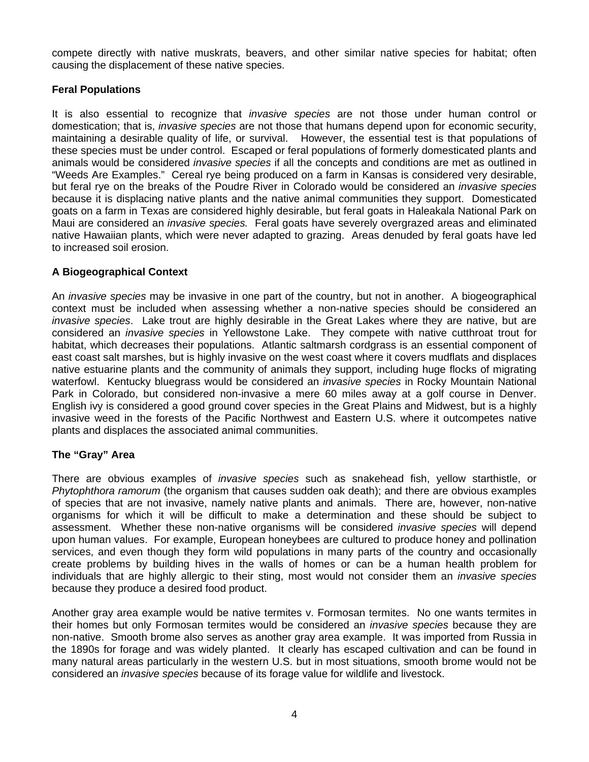compete directly with native muskrats, beavers, and other similar native species for habitat; often causing the displacement of these native species.

### **Feral Populations**

It is also essential to recognize that *invasive species* are not those under human control or domestication; that is, *invasive species* are not those that humans depend upon for economic security, maintaining a desirable quality of life, or survival. However, the essential test is that populations of these species must be under control. Escaped or feral populations of formerly domesticated plants and animals would be considered *invasive species* if all the concepts and conditions are met as outlined in "Weeds Are Examples." Cereal rye being produced on a farm in Kansas is considered very desirable, but feral rye on the breaks of the Poudre River in Colorado would be considered an *invasive species*  because it is displacing native plants and the native animal communities they support. Domesticated goats on a farm in Texas are considered highly desirable, but feral goats in Haleakala National Park on Maui are considered an *invasive species.* Feral goats have severely overgrazed areas and eliminated native Hawaiian plants, which were never adapted to grazing. Areas denuded by feral goats have led to increased soil erosion.

### **A Biogeographical Context**

An *invasive species* may be invasive in one part of the country, but not in another. A biogeographical context must be included when assessing whether a non-native species should be considered an *invasive species*. Lake trout are highly desirable in the Great Lakes where they are native, but are considered an *invasive species* in Yellowstone Lake. They compete with native cutthroat trout for habitat, which decreases their populations. Atlantic saltmarsh cordgrass is an essential component of east coast salt marshes, but is highly invasive on the west coast where it covers mudflats and displaces native estuarine plants and the community of animals they support, including huge flocks of migrating waterfowl. Kentucky bluegrass would be considered an *invasive species* in Rocky Mountain National Park in Colorado, but considered non-invasive a mere 60 miles away at a golf course in Denver. English ivy is considered a good ground cover species in the Great Plains and Midwest, but is a highly invasive weed in the forests of the Pacific Northwest and Eastern U.S. where it outcompetes native plants and displaces the associated animal communities.

### **The "Gray" Area**

There are obvious examples of *invasive species* such as snakehead fish, yellow starthistle, or *Phytophthora ramorum* (the organism that causes sudden oak death); and there are obvious examples of species that are not invasive, namely native plants and animals. There are, however, non-native organisms for which it will be difficult to make a determination and these should be subject to assessment. Whether these non-native organisms will be considered *invasive species* will depend upon human values. For example, European honeybees are cultured to produce honey and pollination services, and even though they form wild populations in many parts of the country and occasionally create problems by building hives in the walls of homes or can be a human health problem for individuals that are highly allergic to their sting, most would not consider them an *invasive species* because they produce a desired food product.

Another gray area example would be native termites v. Formosan termites. No one wants termites in their homes but only Formosan termites would be considered an *invasive species* because they are non-native. Smooth brome also serves as another gray area example. It was imported from Russia in the 1890s for forage and was widely planted. It clearly has escaped cultivation and can be found in many natural areas particularly in the western U.S. but in most situations, smooth brome would not be considered an *invasive species* because of its forage value for wildlife and livestock.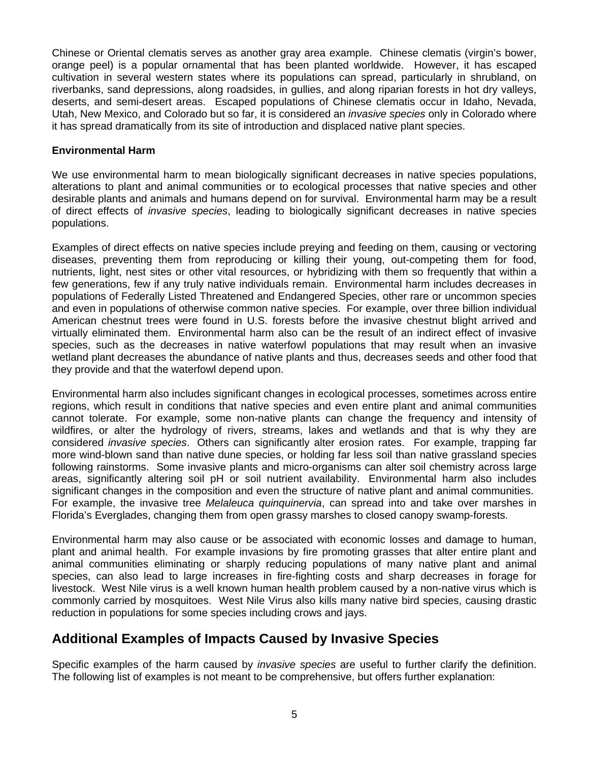Chinese or Oriental clematis serves as another gray area example. Chinese clematis (virgin's bower, orange peel) is a popular ornamental that has been planted worldwide. However, it has escaped cultivation in several western states where its populations can spread, particularly in shrubland, on riverbanks, sand depressions, along roadsides, in gullies, and along riparian forests in hot dry valleys, deserts, and semi-desert areas. Escaped populations of Chinese clematis occur in Idaho, Nevada, Utah, New Mexico, and Colorado but so far, it is considered an *invasive species* only in Colorado where it has spread dramatically from its site of introduction and displaced native plant species.

### **Environmental Harm**

We use environmental harm to mean biologically significant decreases in native species populations, alterations to plant and animal communities or to ecological processes that native species and other desirable plants and animals and humans depend on for survival. Environmental harm may be a result of direct effects of *invasive species*, leading to biologically significant decreases in native species populations.

Examples of direct effects on native species include preying and feeding on them, causing or vectoring diseases, preventing them from reproducing or killing their young, out-competing them for food, nutrients, light, nest sites or other vital resources, or hybridizing with them so frequently that within a few generations, few if any truly native individuals remain. Environmental harm includes decreases in populations of Federally Listed Threatened and Endangered Species, other rare or uncommon species and even in populations of otherwise common native species. For example, over three billion individual American chestnut trees were found in U.S. forests before the invasive chestnut blight arrived and virtually eliminated them. Environmental harm also can be the result of an indirect effect of invasive species, such as the decreases in native waterfowl populations that may result when an invasive wetland plant decreases the abundance of native plants and thus, decreases seeds and other food that they provide and that the waterfowl depend upon.

Environmental harm also includes significant changes in ecological processes, sometimes across entire regions, which result in conditions that native species and even entire plant and animal communities cannot tolerate. For example, some non-native plants can change the frequency and intensity of wildfires, or alter the hydrology of rivers, streams, lakes and wetlands and that is why they are considered *invasive species*. Others can significantly alter erosion rates. For example, trapping far more wind-blown sand than native dune species, or holding far less soil than native grassland species following rainstorms. Some invasive plants and micro-organisms can alter soil chemistry across large areas, significantly altering soil pH or soil nutrient availability. Environmental harm also includes significant changes in the composition and even the structure of native plant and animal communities. For example, the invasive tree *Melaleuca quinquinervia*, can spread into and take over marshes in Florida's Everglades, changing them from open grassy marshes to closed canopy swamp-forests.

Environmental harm may also cause or be associated with economic losses and damage to human, plant and animal health. For example invasions by fire promoting grasses that alter entire plant and animal communities eliminating or sharply reducing populations of many native plant and animal species, can also lead to large increases in fire-fighting costs and sharp decreases in forage for livestock. West Nile virus is a well known human health problem caused by a non-native virus which is commonly carried by mosquitoes. West Nile Virus also kills many native bird species, causing drastic reduction in populations for some species including crows and jays.

## **Additional Examples of Impacts Caused by Invasive Species**

Specific examples of the harm caused by *invasive species* are useful to further clarify the definition. The following list of examples is not meant to be comprehensive, but offers further explanation: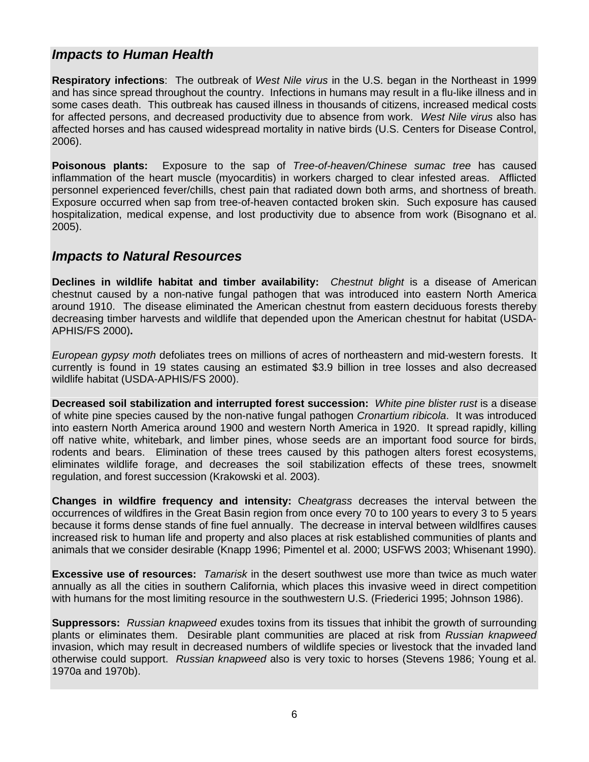### *Impacts to Human Health*

**Respiratory infections**: The outbreak of *West Nile virus* in the U.S. began in the Northeast in 1999 and has since spread throughout the country. Infections in humans may result in a flu-like illness and in some cases death. This outbreak has caused illness in thousands of citizens, increased medical costs for affected persons, and decreased productivity due to absence from work. *West Nile virus* also has affected horses and has caused widespread mortality in native birds (U.S. Centers for Disease Control, 2006).

**Poisonous plants:** Exposure to the sap of *Tree-of-heaven/Chinese sumac tree* has caused inflammation of the heart muscle (myocarditis) in workers charged to clear infested areas. Afflicted personnel experienced fever/chills, chest pain that radiated down both arms, and shortness of breath. Exposure occurred when sap from tree-of-heaven contacted broken skin. Such exposure has caused hospitalization, medical expense, and lost productivity due to absence from work (Bisognano et al. 2005).

## *Impacts to Natural Resources*

**Declines in wildlife habitat and timber availability:** *Chestnut blight* is a disease of American chestnut caused by a non-native fungal pathogen that was introduced into eastern North America around 1910. The disease eliminated the American chestnut from eastern deciduous forests thereby decreasing timber harvests and wildlife that depended upon the American chestnut for habitat (USDA-APHIS/FS 2000)**.** 

*European gypsy moth* defoliates trees on millions of acres of northeastern and mid-western forests. It currently is found in 19 states causing an estimated \$3.9 billion in tree losses and also decreased wildlife habitat (USDA-APHIS/FS 2000).

**Decreased soil stabilization and interrupted forest succession:** *White pine blister rust* is a disease of white pine species caused by the non-native fungal pathogen *Cronartium ribicola*. It was introduced into eastern North America around 1900 and western North America in 1920. It spread rapidly, killing off native white, whitebark, and limber pines, whose seeds are an important food source for birds, rodents and bears. Elimination of these trees caused by this pathogen alters forest ecosystems, eliminates wildlife forage, and decreases the soil stabilization effects of these trees, snowmelt regulation, and forest succession (Krakowski et al. 2003).

**Changes in wildfire frequency and intensity:** C*heatgrass* decreases the interval between the occurrences of wildfires in the Great Basin region from once every 70 to 100 years to every 3 to 5 years because it forms dense stands of fine fuel annually. The decrease in interval between wildlfires causes increased risk to human life and property and also places at risk established communities of plants and animals that we consider desirable (Knapp 1996; Pimentel et al. 2000; USFWS 2003; Whisenant 1990).

**Excessive use of resources:** *Tamarisk* in the desert southwest use more than twice as much water annually as all the cities in southern California, which places this invasive weed in direct competition with humans for the most limiting resource in the southwestern U.S. (Friederici 1995; Johnson 1986).

**Suppressors:** *Russian knapweed* exudes toxins from its tissues that inhibit the growth of surrounding plants or eliminates them. Desirable plant communities are placed at risk from *Russian knapweed* invasion, which may result in decreased numbers of wildlife species or livestock that the invaded land otherwise could support. *Russian knapweed* also is very toxic to horses (Stevens 1986; Young et al. 1970a and 1970b).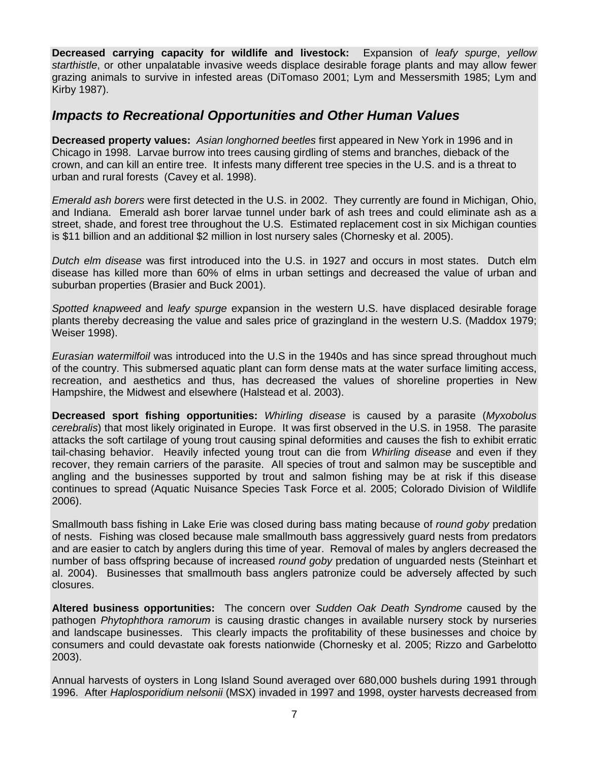**Decreased carrying capacity for wildlife and livestock:** Expansion of *leafy spurge*, *yellow starthistle*, or other unpalatable invasive weeds displace desirable forage plants and may allow fewer grazing animals to survive in infested areas (DiTomaso 2001; Lym and Messersmith 1985; Lym and Kirby 1987).

## *Impacts to Recreational Opportunities and Other Human Values*

**Decreased property values:** *Asian longhorned beetles* first appeared in New York in 1996 and in Chicago in 1998. Larvae burrow into trees causing girdling of stems and branches, dieback of the crown, and can kill an entire tree. It infests many different tree species in the U.S. and is a threat to urban and rural forests (Cavey et al. 1998).

*Emerald ash borers* were first detected in the U.S. in 2002. They currently are found in Michigan, Ohio, and Indiana. Emerald ash borer larvae tunnel under bark of ash trees and could eliminate ash as a street, shade, and forest tree throughout the U.S. Estimated replacement cost in six Michigan counties is \$11 billion and an additional \$2 million in lost nursery sales (Chornesky et al. 2005).

*Dutch elm disease* was first introduced into the U.S. in 1927 and occurs in most states. Dutch elm disease has killed more than 60% of elms in urban settings and decreased the value of urban and suburban properties (Brasier and Buck 2001).

*Spotted knapweed* and *leafy spurge* expansion in the western U.S. have displaced desirable forage plants thereby decreasing the value and sales price of grazingland in the western U.S. (Maddox 1979; Weiser 1998).

*Eurasian watermilfoil* was introduced into the U.S in the 1940s and has since spread throughout much of the country. This submersed aquatic plant can form dense mats at the water surface limiting access, recreation, and aesthetics and thus, has decreased the values of shoreline properties in New Hampshire, the Midwest and elsewhere (Halstead et al. 2003).

**Decreased sport fishing opportunities:** *Whirling disease* is caused by a parasite (*Myxobolus cerebralis*) that most likely originated in Europe. It was first observed in the U.S. in 1958. The parasite attacks the soft cartilage of young trout causing spinal deformities and causes the fish to exhibit erratic tail-chasing behavior. Heavily infected young trout can die from *Whirling disease* and even if they recover, they remain carriers of the parasite. All species of trout and salmon may be susceptible and angling and the businesses supported by trout and salmon fishing may be at risk if this disease continues to spread (Aquatic Nuisance Species Task Force et al. 2005; Colorado Division of Wildlife 2006).

Smallmouth bass fishing in Lake Erie was closed during bass mating because of *round goby* predation of nests. Fishing was closed because male smallmouth bass aggressively guard nests from predators and are easier to catch by anglers during this time of year. Removal of males by anglers decreased the number of bass offspring because of increased *round goby* predation of unguarded nests (Steinhart et al. 2004). Businesses that smallmouth bass anglers patronize could be adversely affected by such closures.

**Altered business opportunities:** The concern over *Sudden Oak Death Syndrome* caused by the pathogen *Phytophthora ramorum* is causing drastic changes in available nursery stock by nurseries and landscape businesses. This clearly impacts the profitability of these businesses and choice by consumers and could devastate oak forests nationwide (Chornesky et al. 2005; Rizzo and Garbelotto 2003).

Annual harvests of oysters in Long Island Sound averaged over 680,000 bushels during 1991 through 1996. After *Haplosporidium nelsonii* (MSX) invaded in 1997 and 1998, oyster harvests decreased from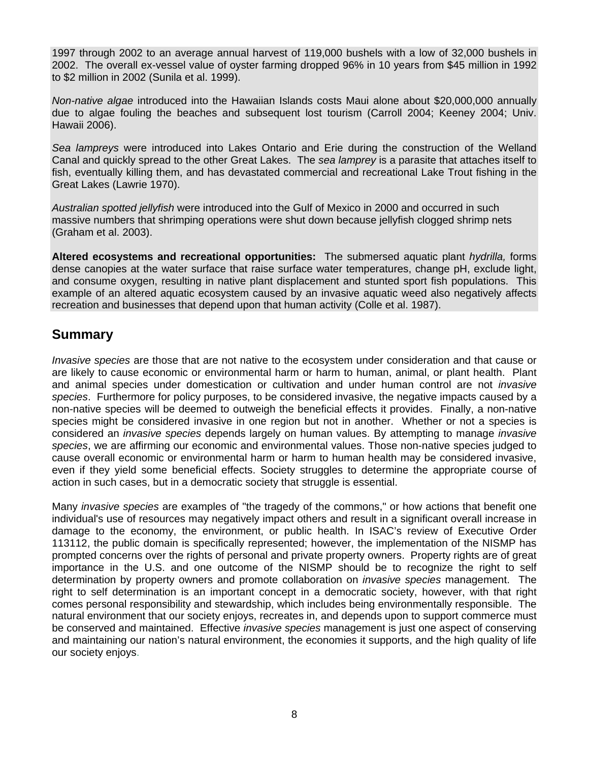1997 through 2002 to an average annual harvest of 119,000 bushels with a low of 32,000 bushels in 2002. The overall ex-vessel value of oyster farming dropped 96% in 10 years from \$45 million in 1992 to \$2 million in 2002 (Sunila et al. 1999).

*Non-native algae* introduced into the Hawaiian Islands costs Maui alone about \$20,000,000 annually due to algae fouling the beaches and subsequent lost tourism (Carroll 2004; Keeney 2004; Univ. Hawaii 2006).

*Sea lampreys* were introduced into Lakes Ontario and Erie during the construction of the Welland Canal and quickly spread to the other Great Lakes. The *sea lamprey* is a parasite that attaches itself to fish, eventually killing them, and has devastated commercial and recreational Lake Trout fishing in the Great Lakes (Lawrie 1970).

*Australian spotted jellyfish* were introduced into the Gulf of Mexico in 2000 and occurred in such massive numbers that shrimping operations were shut down because jellyfish clogged shrimp nets (Graham et al. 2003).

**Altered ecosystems and recreational opportunities:** The submersed aquatic plant *hydrilla,* forms dense canopies at the water surface that raise surface water temperatures, change pH, exclude light, and consume oxygen, resulting in native plant displacement and stunted sport fish populations. This example of an altered aquatic ecosystem caused by an invasive aquatic weed also negatively affects recreation and businesses that depend upon that human activity (Colle et al. 1987).

## **Summary**

*Invasive species* are those that are not native to the ecosystem under consideration and that cause or are likely to cause economic or environmental harm or harm to human, animal, or plant health. Plant and animal species under domestication or cultivation and under human control are not *invasive species*. Furthermore for policy purposes, to be considered invasive, the negative impacts caused by a non-native species will be deemed to outweigh the beneficial effects it provides. Finally, a non-native species might be considered invasive in one region but not in another. Whether or not a species is considered an *invasive species* depends largely on human values. By attempting to manage *invasive species*, we are affirming our economic and environmental values. Those non-native species judged to cause overall economic or environmental harm or harm to human health may be considered invasive, even if they yield some beneficial effects. Society struggles to determine the appropriate course of action in such cases, but in a democratic society that struggle is essential.

Many *invasive species* are examples of "the tragedy of the commons," or how actions that benefit one individual's use of resources may negatively impact others and result in a significant overall increase in damage to the economy, the environment, or public health. In ISAC's review of Executive Order 113112, the public domain is specifically represented; however, the implementation of the NISMP has prompted concerns over the rights of personal and private property owners. Property rights are of great importance in the U.S. and one outcome of the NISMP should be to recognize the right to self determination by property owners and promote collaboration on *invasive species* management. The right to self determination is an important concept in a democratic society, however, with that right comes personal responsibility and stewardship, which includes being environmentally responsible. The natural environment that our society enjoys, recreates in, and depends upon to support commerce must be conserved and maintained. Effective *invasive species* management is just one aspect of conserving and maintaining our nation's natural environment, the economies it supports, and the high quality of life our society enjoys.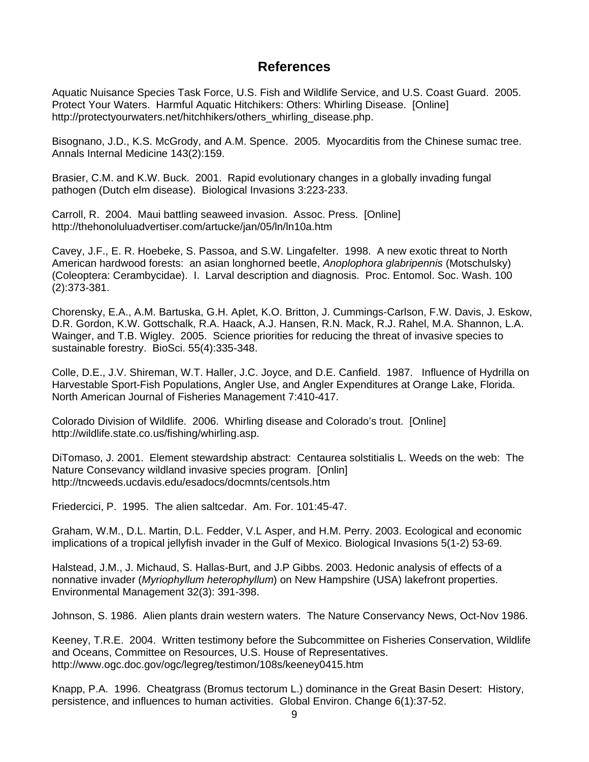## **References**

Aquatic Nuisance Species Task Force, U.S. Fish and Wildlife Service, and U.S. Coast Guard. 2005. Protect Your Waters. Harmful Aquatic Hitchikers: Others: Whirling Disease. [Online] http://protectyourwaters.net/hitchhikers/others\_whirling\_disease.php.

Bisognano, J.D., K.S. McGrody, and A.M. Spence. 2005. Myocarditis from the Chinese sumac tree. Annals Internal Medicine 143(2):159.

Brasier, C.M. and K.W. Buck. 2001. Rapid evolutionary changes in a globally invading fungal pathogen (Dutch elm disease). Biological Invasions 3:223-233.

Carroll, R. 2004. Maui battling seaweed invasion. Assoc. Press. [Online] http://thehonoluluadvertiser.com/artucke/jan/05/ln/ln10a.htm

Cavey, J.F., E. R. Hoebeke, S. Passoa, and S.W. Lingafelter. 1998. A new exotic threat to North American hardwood forests: an asian longhorned beetle, *Anoplophora glabripennis* (Motschulsky) (Coleoptera: Cerambycidae). I. Larval description and diagnosis. Proc. Entomol. Soc. Wash. 100 (2):373-381.

Chorensky, E.A., A.M. Bartuska, G.H. Aplet, K.O. Britton, J. Cummings-Carlson, F.W. Davis, J. Eskow, D.R. Gordon, K.W. Gottschalk, R.A. Haack, A.J. Hansen, R.N. Mack, R.J. Rahel, M.A. Shannon, L.A. Wainger, and T.B. Wigley. 2005. Science priorities for reducing the threat of invasive species to sustainable forestry. BioSci. 55(4):335-348.

Colle, D.E., J.V. Shireman, W.T. Haller, J.C. Joyce, and D.E. Canfield. 1987. Influence of Hydrilla on Harvestable Sport-Fish Populations, Angler Use, and Angler Expenditures at Orange Lake, Florida. North American Journal of Fisheries Management 7:410-417.

Colorado Division of Wildlife. 2006. Whirling disease and Colorado's trout. [Online] http://wildlife.state.co.us/fishing/whirling.asp.

DiTomaso, J. 2001. Element stewardship abstract: Centaurea solstitialis L. Weeds on the web: The Nature Consevancy wildland invasive species program. [Onlin] http://tncweeds.ucdavis.edu/esadocs/docmnts/centsols.htm

Friedercici, P. 1995. The alien saltcedar. Am. For. 101:45-47.

Graham, W.M., D.L. Martin, D.L. Fedder, V.L Asper, and H.M. Perry. 2003. Ecological and economic implications of a tropical jellyfish invader in the Gulf of Mexico. Biological Invasions 5(1-2) 53-69.

Halstead, J.M., J. Michaud, S. Hallas-Burt, and J.P Gibbs. 2003. Hedonic analysis of effects of a nonnative invader (*Myriophyllum heterophyllum*) on New Hampshire (USA) lakefront properties. Environmental Management 32(3): 391-398.

Johnson, S. 1986. Alien plants drain western waters. The Nature Conservancy News, Oct-Nov 1986.

Keeney, T.R.E. 2004. Written testimony before the Subcommittee on Fisheries Conservation, Wildlife and Oceans, Committee on Resources, U.S. House of Representatives. http://www.ogc.doc.gov/ogc/legreg/testimon/108s/keeney0415.htm

Knapp, P.A. 1996. Cheatgrass (Bromus tectorum L.) dominance in the Great Basin Desert: History, persistence, and influences to human activities. Global Environ. Change 6(1):37-52.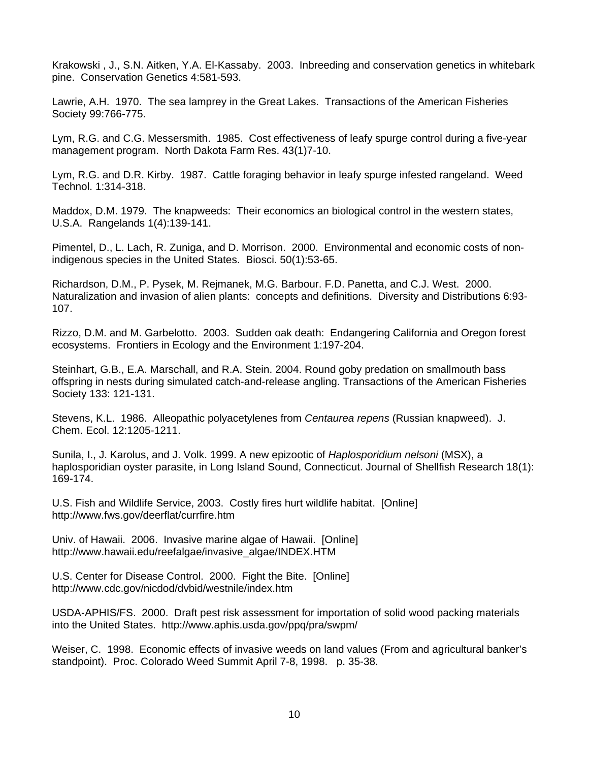Krakowski , J., S.N. Aitken, Y.A. El-Kassaby. 2003. Inbreeding and conservation genetics in whitebark pine. Conservation Genetics 4:581-593.

Lawrie, A.H. 1970. The sea lamprey in the Great Lakes. Transactions of the American Fisheries Society 99:766-775.

Lym, R.G. and C.G. Messersmith. 1985. Cost effectiveness of leafy spurge control during a five-year management program. North Dakota Farm Res. 43(1)7-10.

Lym, R.G. and D.R. Kirby. 1987. Cattle foraging behavior in leafy spurge infested rangeland. Weed Technol. 1:314-318.

Maddox, D.M. 1979. The knapweeds: Their economics an biological control in the western states, U.S.A. Rangelands 1(4):139-141.

Pimentel, D., L. Lach, R. Zuniga, and D. Morrison. 2000. Environmental and economic costs of nonindigenous species in the United States. Biosci. 50(1):53-65.

Richardson, D.M., P. Pysek, M. Rejmanek, M.G. Barbour. F.D. Panetta, and C.J. West. 2000. Naturalization and invasion of alien plants: concepts and definitions. Diversity and Distributions 6:93- 107.

Rizzo, D.M. and M. Garbelotto. 2003. Sudden oak death: Endangering California and Oregon forest ecosystems. Frontiers in Ecology and the Environment 1:197-204.

Steinhart, G.B., E.A. Marschall, and R.A. Stein. 2004. Round goby predation on smallmouth bass offspring in nests during simulated catch-and-release angling. Transactions of the American Fisheries Society 133: 121-131.

Stevens, K.L. 1986. Alleopathic polyacetylenes from *Centaurea repens* (Russian knapweed). J. Chem. Ecol. 12:1205-1211.

Sunila, I., J. Karolus, and J. Volk. 1999. A new epizootic of *Haplosporidium nelsoni* (MSX), a haplosporidian oyster parasite, in Long Island Sound, Connecticut. Journal of Shellfish Research 18(1): 169-174.

U.S. Fish and Wildlife Service, 2003. Costly fires hurt wildlife habitat. [Online] http://www.fws.gov/deerflat/currfire.htm

Univ. of Hawaii. 2006. Invasive marine algae of Hawaii. [Online] http://www.hawaii.edu/reefalgae/invasive\_algae/INDEX.HTM

U.S. Center for Disease Control. 2000. Fight the Bite. [Online] http://www.cdc.gov/nicdod/dvbid/westnile/index.htm

USDA-APHIS/FS. 2000. Draft pest risk assessment for importation of solid wood packing materials into the United States. http://www.aphis.usda.gov/ppq/pra/swpm/

Weiser, C. 1998. Economic effects of invasive weeds on land values (From and agricultural banker's standpoint). Proc. Colorado Weed Summit April 7-8, 1998. p. 35-38.